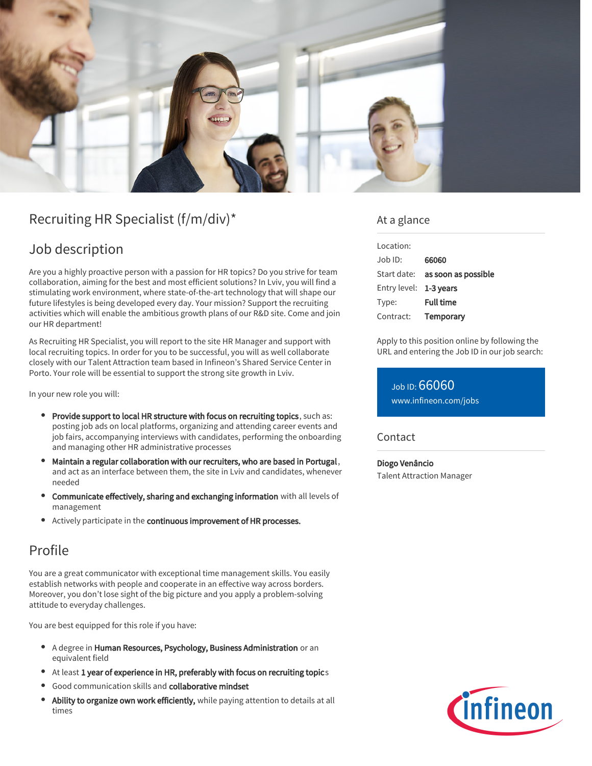

# Recruiting HR Specialist (f/m/div)\*

## Job description

Are you a highly proactive person with a passion for HR topics? Do you strive for team collaboration, aiming for the best and most efficient solutions? In Lviv, you will find a stimulating work environment, where state-of-the-art technology that will shape our future lifestyles is being developed every day. Your mission? Support the recruiting activities which will enable the ambitious growth plans of our R&D site. Come and join our HR department!

As Recruiting HR Specialist, you will report to the site HR Manager and support with local recruiting topics. In order for you to be successful, you will as well collaborate closely with our Talent Attraction team based in Infineon's Shared Service Center in Porto. Your role will be essential to support the strong site growth in Lviv.

In your new role you will:

- Provide support to local HR structure with focus on recruiting topics, such as: posting job ads on local platforms, organizing and attending career events and job fairs, accompanying interviews with candidates, performing the onboarding and managing other HR administrative processes
- Maintain a regular collaboration with our recruiters, who are based in Portugal,  $\bullet$ and act as an interface between them, the site in Lviv and candidates, whenever needed
- Communicate effectively, sharing and exchanging information with all levels of management
- **•** Actively participate in the continuous improvement of HR processes.

### Profile

You are a great communicator with exceptional time management skills. You easily establish networks with people and cooperate in an effective way across borders. Moreover, you don't lose sight of the big picture and you apply a problem-solving attitude to everyday challenges.

You are best equipped for this role if you have:

- A degree in Human Resources, Psychology, Business Administration or an equivalent field
- At least 1 year of experience in HR, preferably with focus on recruiting topics
- Good communication skills and collaborative mindset
- Ability to organize own work efficiently, while paying attention to details at all times

### At a glance

| Location:                     |                                 |
|-------------------------------|---------------------------------|
| $\Delta$ lob $\overline{D}$ : | 66060                           |
|                               | Start date: as soon as possible |
| Entry level: 1-3 years        |                                 |
| Type:                         | <b>Full time</b>                |
| Contract:                     | Temporary                       |

Apply to this position online by following the URL and entering the Job ID in our job search:

Job ID: 66060 [www.infineon.com/jobs](https://www.infineon.com/jobs)

#### Contact

Diogo Venâncio Talent Attraction Manager